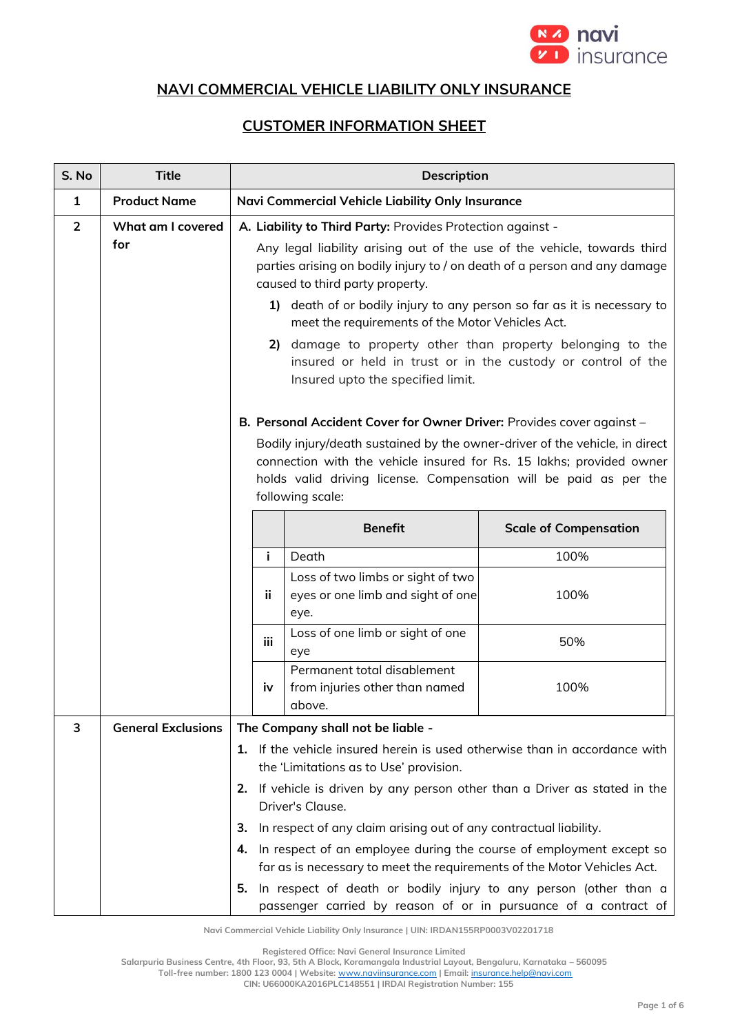

## **NAVI COMMERCIAL VEHICLE LIABILITY ONLY INSURANCE**

## **CUSTOMER INFORMATION SHEET**

| S. No          | <b>Title</b>              |                                                                                                                                                                                                                                                                                                                                                                                                                                                                                                                                                                | Description                                                                                                                                                                                                                                                                                                           |                              |
|----------------|---------------------------|----------------------------------------------------------------------------------------------------------------------------------------------------------------------------------------------------------------------------------------------------------------------------------------------------------------------------------------------------------------------------------------------------------------------------------------------------------------------------------------------------------------------------------------------------------------|-----------------------------------------------------------------------------------------------------------------------------------------------------------------------------------------------------------------------------------------------------------------------------------------------------------------------|------------------------------|
| $\mathbf{1}$   | <b>Product Name</b>       |                                                                                                                                                                                                                                                                                                                                                                                                                                                                                                                                                                | Navi Commercial Vehicle Liability Only Insurance                                                                                                                                                                                                                                                                      |                              |
| $\overline{2}$ | What am I covered<br>for  | A. Liability to Third Party: Provides Protection against -<br>Any legal liability arising out of the use of the vehicle, towards third<br>parties arising on bodily injury to / on death of a person and any damage<br>caused to third party property.<br>death of or bodily injury to any person so far as it is necessary to<br>1)<br>meet the requirements of the Motor Vehicles Act.<br>damage to property other than property belonging to the<br>2)<br>insured or held in trust or in the custody or control of the<br>Insured upto the specified limit. |                                                                                                                                                                                                                                                                                                                       |                              |
|                |                           |                                                                                                                                                                                                                                                                                                                                                                                                                                                                                                                                                                | B. Personal Accident Cover for Owner Driver: Provides cover against -<br>Bodily injury/death sustained by the owner-driver of the vehicle, in direct<br>connection with the vehicle insured for Rs. 15 lakhs; provided owner<br>holds valid driving license. Compensation will be paid as per the<br>following scale: |                              |
|                |                           |                                                                                                                                                                                                                                                                                                                                                                                                                                                                                                                                                                | <b>Benefit</b>                                                                                                                                                                                                                                                                                                        | <b>Scale of Compensation</b> |
|                |                           | i.                                                                                                                                                                                                                                                                                                                                                                                                                                                                                                                                                             | Death                                                                                                                                                                                                                                                                                                                 | 100%                         |
|                |                           | ii,                                                                                                                                                                                                                                                                                                                                                                                                                                                                                                                                                            | Loss of two limbs or sight of two<br>eyes or one limb and sight of one<br>eye.                                                                                                                                                                                                                                        | 100%                         |
|                |                           | iii                                                                                                                                                                                                                                                                                                                                                                                                                                                                                                                                                            | Loss of one limb or sight of one<br>eye                                                                                                                                                                                                                                                                               | 50%                          |
|                |                           | iv                                                                                                                                                                                                                                                                                                                                                                                                                                                                                                                                                             | Permanent total disablement<br>from injuries other than named<br>above.                                                                                                                                                                                                                                               | 100%                         |
| 3              | <b>General Exclusions</b> | The Company shall not be liable -                                                                                                                                                                                                                                                                                                                                                                                                                                                                                                                              |                                                                                                                                                                                                                                                                                                                       |                              |
|                |                           |                                                                                                                                                                                                                                                                                                                                                                                                                                                                                                                                                                | 1. If the vehicle insured herein is used otherwise than in accordance with<br>the 'Limitations as to Use' provision.                                                                                                                                                                                                  |                              |
|                |                           | 2.                                                                                                                                                                                                                                                                                                                                                                                                                                                                                                                                                             | If vehicle is driven by any person other than a Driver as stated in the<br>Driver's Clause.                                                                                                                                                                                                                           |                              |
|                |                           | З.                                                                                                                                                                                                                                                                                                                                                                                                                                                                                                                                                             | In respect of any claim arising out of any contractual liability.                                                                                                                                                                                                                                                     |                              |
|                |                           | 4.                                                                                                                                                                                                                                                                                                                                                                                                                                                                                                                                                             | In respect of an employee during the course of employment except so                                                                                                                                                                                                                                                   |                              |
|                |                           |                                                                                                                                                                                                                                                                                                                                                                                                                                                                                                                                                                | far as is necessary to meet the requirements of the Motor Vehicles Act.                                                                                                                                                                                                                                               |                              |
|                |                           | 5.                                                                                                                                                                                                                                                                                                                                                                                                                                                                                                                                                             | In respect of death or bodily injury to any person (other than a<br>passenger carried by reason of or in pursuance of a contract of                                                                                                                                                                                   |                              |

**Navi Commercial Vehicle Liability Only Insurance | UIN: IRDAN155RP0003V02201718**

**Registered Office: Navi General Insurance Limited**

**Salarpuria Business Centre, 4th Floor, 93, 5th A Block, Koramangala Industrial Layout, Bengaluru, Karnataka – 560095**

**Toll-free number: 1800 123 0004 | Website:** [www.naviinsurance.com](http://www.naviinsurance.com/) **| Email:** [insurance.help@navi.com](mailto:insurance.help@navi.com)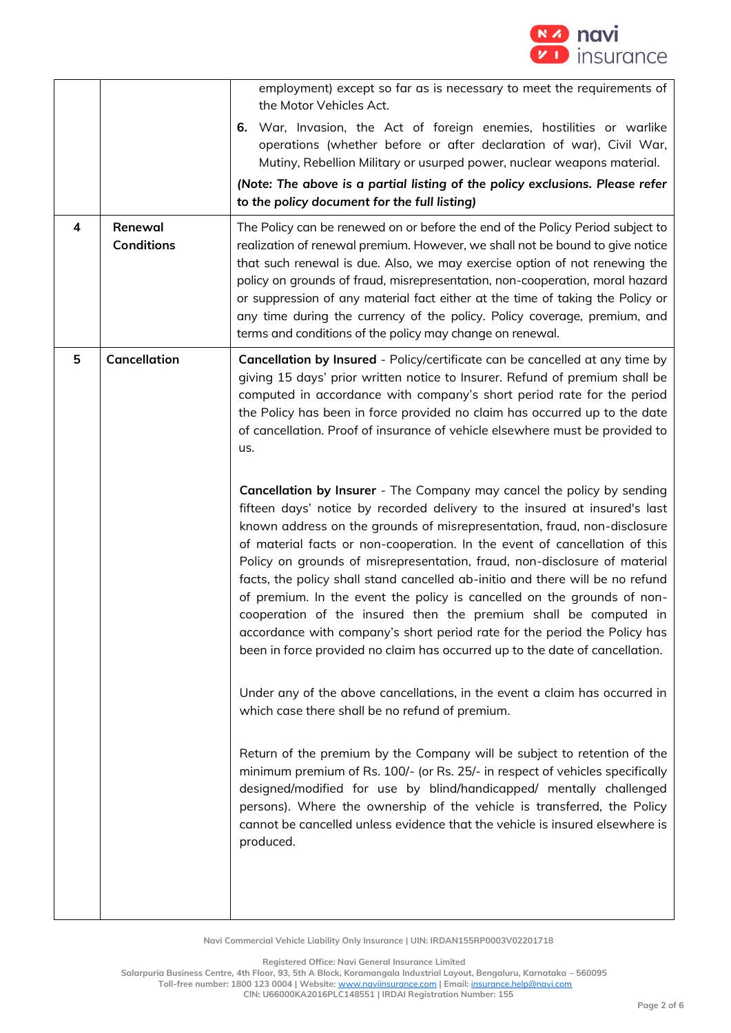

| 4 | Renewal<br><b>Conditions</b> | employment) except so far as is necessary to meet the requirements of<br>the Motor Vehicles Act.<br>War, Invasion, the Act of foreign enemies, hostilities or warlike<br>6.<br>operations (whether before or after declaration of war), Civil War,<br>Mutiny, Rebellion Military or usurped power, nuclear weapons material.<br>(Note: The above is a partial listing of the policy exclusions. Please refer<br>to the policy document for the full listing)<br>The Policy can be renewed on or before the end of the Policy Period subject to<br>realization of renewal premium. However, we shall not be bound to give notice<br>that such renewal is due. Also, we may exercise option of not renewing the<br>policy on grounds of fraud, misrepresentation, non-cooperation, moral hazard<br>or suppression of any material fact either at the time of taking the Policy or<br>any time during the currency of the policy. Policy coverage, premium, and<br>terms and conditions of the policy may change on renewal.                                                                                                                                                                                                                                                                                                                                                                                                                                                                                                                                                                                                                                                                                                                           |
|---|------------------------------|-----------------------------------------------------------------------------------------------------------------------------------------------------------------------------------------------------------------------------------------------------------------------------------------------------------------------------------------------------------------------------------------------------------------------------------------------------------------------------------------------------------------------------------------------------------------------------------------------------------------------------------------------------------------------------------------------------------------------------------------------------------------------------------------------------------------------------------------------------------------------------------------------------------------------------------------------------------------------------------------------------------------------------------------------------------------------------------------------------------------------------------------------------------------------------------------------------------------------------------------------------------------------------------------------------------------------------------------------------------------------------------------------------------------------------------------------------------------------------------------------------------------------------------------------------------------------------------------------------------------------------------------------------------------------------------------------------------------------------------------------------|
| 5 | Cancellation                 | Cancellation by Insured - Policy/certificate can be cancelled at any time by<br>giving 15 days' prior written notice to Insurer. Refund of premium shall be<br>computed in accordance with company's short period rate for the period<br>the Policy has been in force provided no claim has occurred up to the date<br>of cancellation. Proof of insurance of vehicle elsewhere must be provided to<br>us.<br>Cancellation by Insurer - The Company may cancel the policy by sending<br>fifteen days' notice by recorded delivery to the insured at insured's last<br>known address on the grounds of misrepresentation, fraud, non-disclosure<br>of material facts or non-cooperation. In the event of cancellation of this<br>Policy on grounds of misrepresentation, fraud, non-disclosure of material<br>facts, the policy shall stand cancelled ab-initio and there will be no refund<br>of premium. In the event the policy is cancelled on the grounds of non-<br>cooperation of the insured then the premium shall be computed in<br>accordance with company's short period rate for the period the Policy has<br>been in force provided no claim has occurred up to the date of cancellation.<br>Under any of the above cancellations, in the event a claim has occurred in<br>which case there shall be no refund of premium.<br>Return of the premium by the Company will be subject to retention of the<br>minimum premium of Rs. 100/- (or Rs. 25/- in respect of vehicles specifically<br>designed/modified for use by blind/handicapped/ mentally challenged<br>persons). Where the ownership of the vehicle is transferred, the Policy<br>cannot be cancelled unless evidence that the vehicle is insured elsewhere is<br>produced. |

**Registered Office: Navi General Insurance Limited**

**Salarpuria Business Centre, 4th Floor, 93, 5th A Block, Koramangala Industrial Layout, Bengaluru, Karnataka – 560095**

**Toll-free number: 1800 123 0004 | Website:** [www.naviinsurance.com](http://www.naviinsurance.com/) **| Email:** [insurance.help@navi.com](mailto:insurance.help@navi.com)

**CIN: U66000KA2016PLC148551 | IRDAI Registration Number: 155**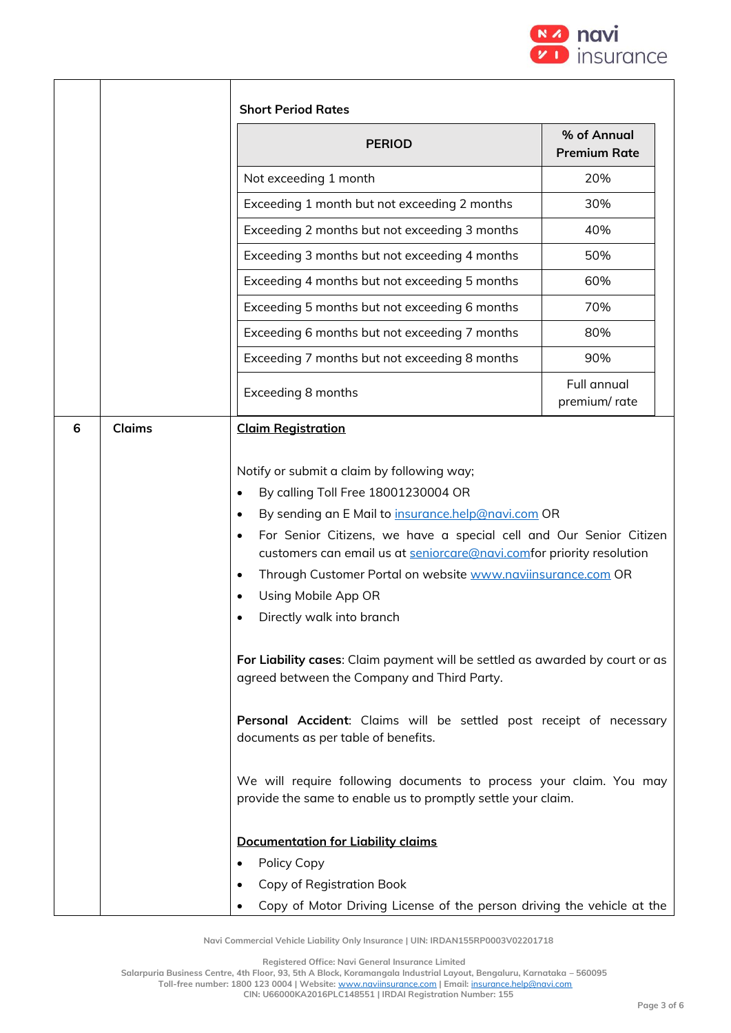

| <b>PERIOD</b>                                                                                                                                                                                                                                                                                                                                                                                                                                                                                                                                                                                                                                                            | % of Annual<br><b>Premium Rate</b> |
|--------------------------------------------------------------------------------------------------------------------------------------------------------------------------------------------------------------------------------------------------------------------------------------------------------------------------------------------------------------------------------------------------------------------------------------------------------------------------------------------------------------------------------------------------------------------------------------------------------------------------------------------------------------------------|------------------------------------|
| Not exceeding 1 month                                                                                                                                                                                                                                                                                                                                                                                                                                                                                                                                                                                                                                                    | 20%                                |
| Exceeding 1 month but not exceeding 2 months                                                                                                                                                                                                                                                                                                                                                                                                                                                                                                                                                                                                                             | 30%                                |
| Exceeding 2 months but not exceeding 3 months                                                                                                                                                                                                                                                                                                                                                                                                                                                                                                                                                                                                                            | 40%                                |
| Exceeding 3 months but not exceeding 4 months                                                                                                                                                                                                                                                                                                                                                                                                                                                                                                                                                                                                                            | 50%                                |
| Exceeding 4 months but not exceeding 5 months                                                                                                                                                                                                                                                                                                                                                                                                                                                                                                                                                                                                                            | 60%                                |
| Exceeding 5 months but not exceeding 6 months                                                                                                                                                                                                                                                                                                                                                                                                                                                                                                                                                                                                                            | 70%                                |
| Exceeding 6 months but not exceeding 7 months                                                                                                                                                                                                                                                                                                                                                                                                                                                                                                                                                                                                                            | 80%                                |
| Exceeding 7 months but not exceeding 8 months                                                                                                                                                                                                                                                                                                                                                                                                                                                                                                                                                                                                                            | 90%                                |
| Exceeding 8 months                                                                                                                                                                                                                                                                                                                                                                                                                                                                                                                                                                                                                                                       | <b>Full annual</b><br>premium/rate |
| By calling Toll Free 18001230004 OR<br>$\bullet$<br>By sending an E Mail to insurance.help@navi.com OR<br>$\bullet$<br>For Senior Citizens, we have a special cell and Our Senior Citizen<br>$\bullet$<br>customers can email us at seniorcare@navi.comfor priority resolution<br>Through Customer Portal on website www.naviinsurance.com OR<br>$\bullet$<br>Using Mobile App OR<br>$\bullet$<br>Directly walk into branch<br>For Liability cases: Claim payment will be settled as awarded by court or as<br>agreed between the Company and Third Party.<br>Personal Accident: Claims will be settled post receipt of necessary<br>documents as per table of benefits. |                                    |

**Registered Office: Navi General Insurance Limited**

**Salarpuria Business Centre, 4th Floor, 93, 5th A Block, Koramangala Industrial Layout, Bengaluru, Karnataka – 560095**

**Toll-free number: 1800 123 0004 | Website:** [www.naviinsurance.com](http://www.naviinsurance.com/) **| Email:** [insurance.help@navi.com](mailto:insurance.help@navi.com)

**CIN: U66000KA2016PLC148551 | IRDAI Registration Number: 155**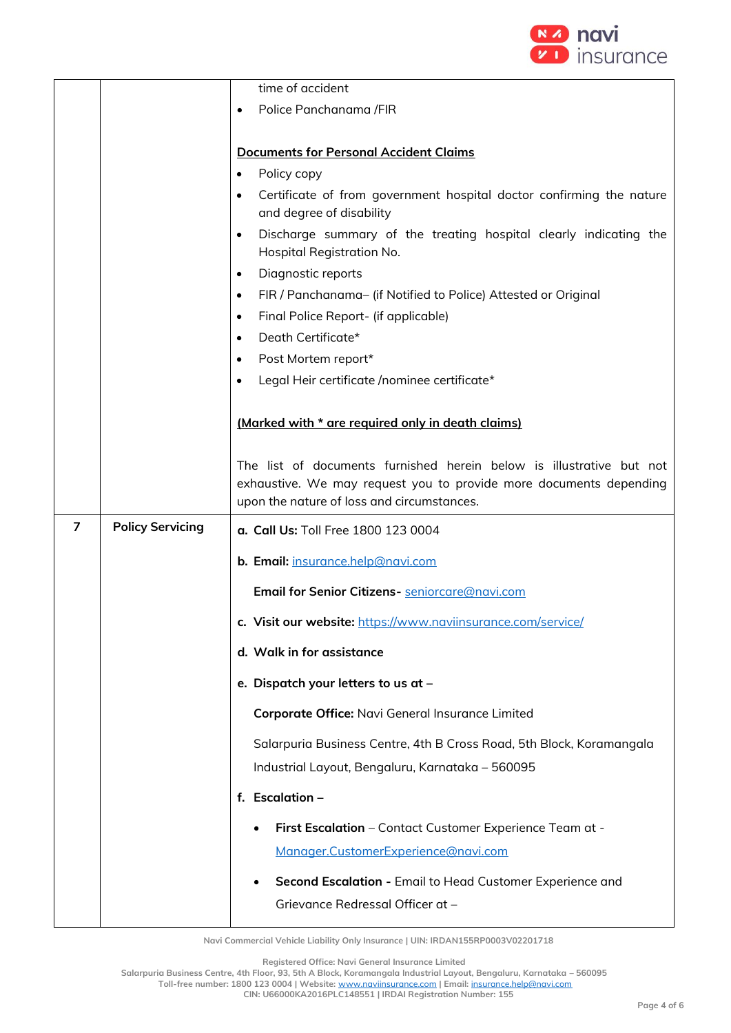

|                |                         | time of accident                                                                                                                           |  |
|----------------|-------------------------|--------------------------------------------------------------------------------------------------------------------------------------------|--|
|                |                         | Police Panchanama /FIR<br>$\bullet$                                                                                                        |  |
|                |                         |                                                                                                                                            |  |
|                |                         | <b>Documents for Personal Accident Claims</b>                                                                                              |  |
|                |                         | Policy copy<br>$\bullet$                                                                                                                   |  |
|                |                         | Certificate of from government hospital doctor confirming the nature<br>$\bullet$<br>and degree of disability                              |  |
|                |                         | Discharge summary of the treating hospital clearly indicating the<br>$\bullet$<br>Hospital Registration No.                                |  |
|                |                         | Diagnostic reports<br>$\bullet$                                                                                                            |  |
|                |                         | FIR / Panchanama- (if Notified to Police) Attested or Original<br>$\bullet$                                                                |  |
|                |                         | Final Police Report- (if applicable)<br>$\bullet$                                                                                          |  |
|                |                         | Death Certificate*<br>$\bullet$                                                                                                            |  |
|                |                         | Post Mortem report*<br>$\bullet$                                                                                                           |  |
|                |                         | Legal Heir certificate /nominee certificate*                                                                                               |  |
|                |                         | (Marked with * are required only in death claims)                                                                                          |  |
|                |                         | The list of documents furnished herein below is illustrative but not<br>exhaustive. We may request you to provide more documents depending |  |
|                |                         | upon the nature of loss and circumstances.                                                                                                 |  |
| $\overline{7}$ | <b>Policy Servicing</b> | a. Call Us: Toll Free 1800 123 0004                                                                                                        |  |
|                |                         | b. Email: insurance.help@navi.com                                                                                                          |  |
|                |                         | Email for Senior Citizens- seniorcare@navi.com                                                                                             |  |
|                |                         | c. Visit our website: https://www.naviinsurance.com/service/                                                                               |  |
|                |                         | d. Walk in for assistance                                                                                                                  |  |
|                |                         | e. Dispatch your letters to us at -                                                                                                        |  |
|                |                         | Corporate Office: Navi General Insurance Limited                                                                                           |  |
|                |                         | Salarpuria Business Centre, 4th B Cross Road, 5th Block, Koramangala                                                                       |  |
|                |                         | Industrial Layout, Bengaluru, Karnataka - 560095                                                                                           |  |
|                |                         | f. Escalation -                                                                                                                            |  |
|                |                         | First Escalation - Contact Customer Experience Team at -                                                                                   |  |
|                |                         | Manager.CustomerExperience@navi.com                                                                                                        |  |
|                |                         | Second Escalation - Email to Head Customer Experience and                                                                                  |  |
|                |                         | Grievance Redressal Officer at -                                                                                                           |  |

**Registered Office: Navi General Insurance Limited**

**Salarpuria Business Centre, 4th Floor, 93, 5th A Block, Koramangala Industrial Layout, Bengaluru, Karnataka – 560095 Toll-free number: 1800 123 0004 | Website:** [www.naviinsurance.com](http://www.naviinsurance.com/) **| Email:** [insurance.help@navi.com](mailto:insurance.help@navi.com) **CIN: U66000KA2016PLC148551 | IRDAI Registration Number: 155**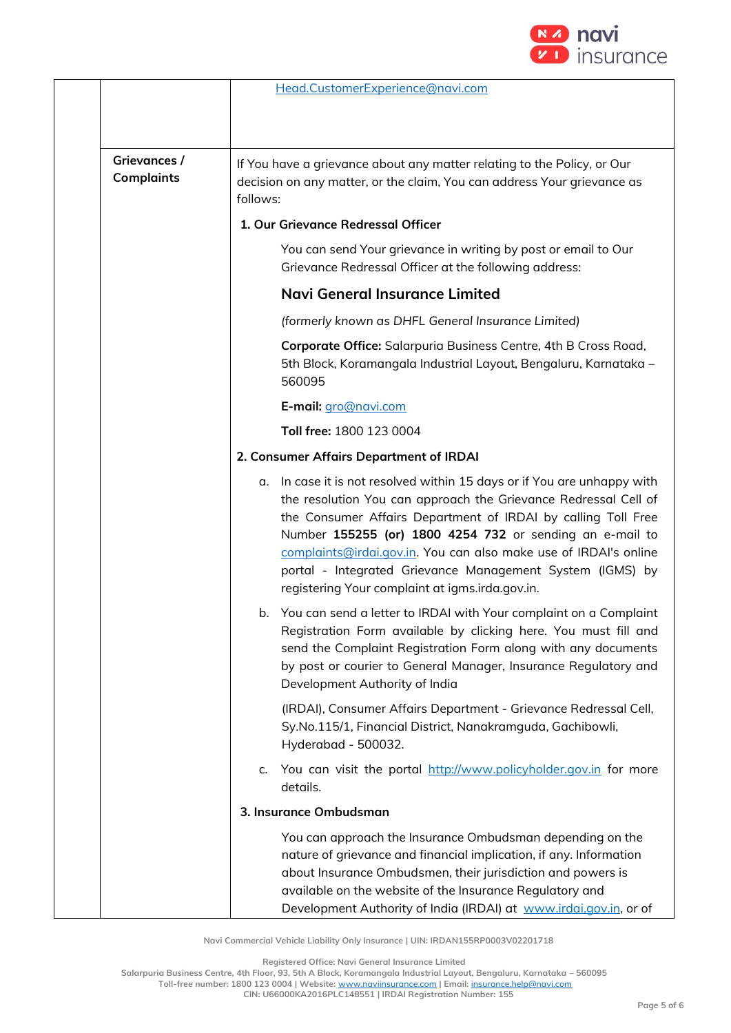

|                                   | Head.CustomerExperience@navi.com                                                                                                                                                                                                                                                                                                                                                                                                                               |
|-----------------------------------|----------------------------------------------------------------------------------------------------------------------------------------------------------------------------------------------------------------------------------------------------------------------------------------------------------------------------------------------------------------------------------------------------------------------------------------------------------------|
| Grievances /<br><b>Complaints</b> | If You have a grievance about any matter relating to the Policy, or Our<br>decision on any matter, or the claim, You can address Your grievance as<br>follows:                                                                                                                                                                                                                                                                                                 |
|                                   | 1. Our Grievance Redressal Officer                                                                                                                                                                                                                                                                                                                                                                                                                             |
|                                   | You can send Your grievance in writing by post or email to Our<br>Grievance Redressal Officer at the following address:                                                                                                                                                                                                                                                                                                                                        |
|                                   | <b>Navi General Insurance Limited</b>                                                                                                                                                                                                                                                                                                                                                                                                                          |
|                                   | (formerly known as DHFL General Insurance Limited)                                                                                                                                                                                                                                                                                                                                                                                                             |
|                                   | Corporate Office: Salarpuria Business Centre, 4th B Cross Road,<br>5th Block, Koramangala Industrial Layout, Bengaluru, Karnataka -<br>560095                                                                                                                                                                                                                                                                                                                  |
|                                   | E-mail: gro@navi.com                                                                                                                                                                                                                                                                                                                                                                                                                                           |
|                                   | Toll free: 1800 123 0004                                                                                                                                                                                                                                                                                                                                                                                                                                       |
|                                   | 2. Consumer Affairs Department of IRDAI                                                                                                                                                                                                                                                                                                                                                                                                                        |
|                                   | In case it is not resolved within 15 days or if You are unhappy with<br>α.<br>the resolution You can approach the Grievance Redressal Cell of<br>the Consumer Affairs Department of IRDAI by calling Toll Free<br>Number 155255 (or) 1800 4254 732 or sending an e-mail to<br>complaints@irdai.gov.in. You can also make use of IRDAI's online<br>portal - Integrated Grievance Management System (IGMS) by<br>registering Your complaint at igms.irda.gov.in. |
|                                   | You can send a letter to IRDAI with Your complaint on a Complaint<br>b.<br>Registration Form available by clicking here. You must fill and<br>send the Complaint Registration Form along with any documents<br>by post or courier to General Manager, Insurance Regulatory and<br>Development Authority of India                                                                                                                                               |
|                                   | (IRDAI), Consumer Affairs Department - Grievance Redressal Cell,<br>Sy.No.115/1, Financial District, Nanakramguda, Gachibowli,<br>Hyderabad - 500032.                                                                                                                                                                                                                                                                                                          |
|                                   | c. You can visit the portal http://www.policyholder.gov.in for more<br>details.                                                                                                                                                                                                                                                                                                                                                                                |
|                                   | 3. Insurance Ombudsman                                                                                                                                                                                                                                                                                                                                                                                                                                         |
|                                   | You can approach the Insurance Ombudsman depending on the<br>nature of grievance and financial implication, if any. Information<br>about Insurance Ombudsmen, their jurisdiction and powers is<br>available on the website of the Insurance Regulatory and<br>Development Authority of India (IRDAI) at www.irdai.gov.in, or of                                                                                                                                |

**Registered Office: Navi General Insurance Limited**

**Salarpuria Business Centre, 4th Floor, 93, 5th A Block, Koramangala Industrial Layout, Bengaluru, Karnataka – 560095**

**Toll-free number: 1800 123 0004 | Website:** [www.naviinsurance.com](http://www.naviinsurance.com/) **| Email:** [insurance.help@navi.com](mailto:insurance.help@navi.com)

**CIN: U66000KA2016PLC148551 | IRDAI Registration Number: 155**